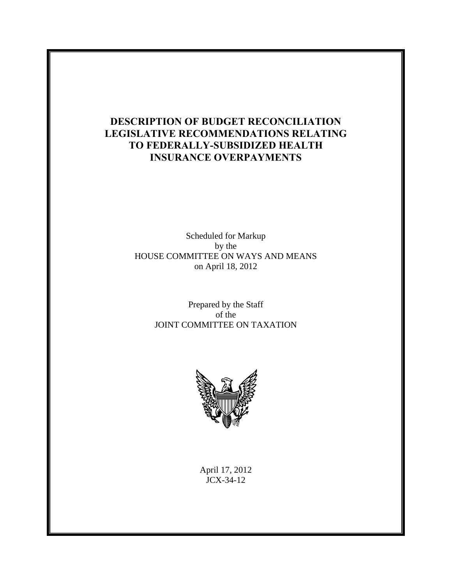## **DESCRIPTION OF BUDGET RECONCILIATION LEGISLATIVE RECOMMENDATIONS RELATING TO FEDERALLY-SUBSIDIZED HEALTH INSURANCE OVERPAYMENTS**

Scheduled for Markup by the HOUSE COMMITTEE ON WAYS AND MEANS on April 18, 2012

> Prepared by the Staff of the JOINT COMMITTEE ON TAXATION



April 17, 2012 JCX-34-12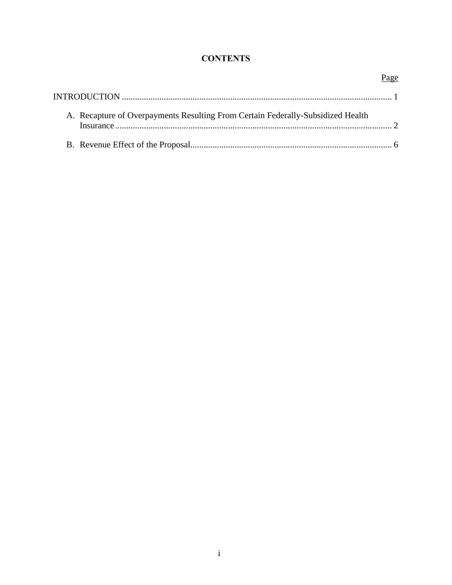### **CONTENTS**

| A. Recapture of Overpayments Resulting From Certain Federally-Subsidized Health |  |
|---------------------------------------------------------------------------------|--|
|                                                                                 |  |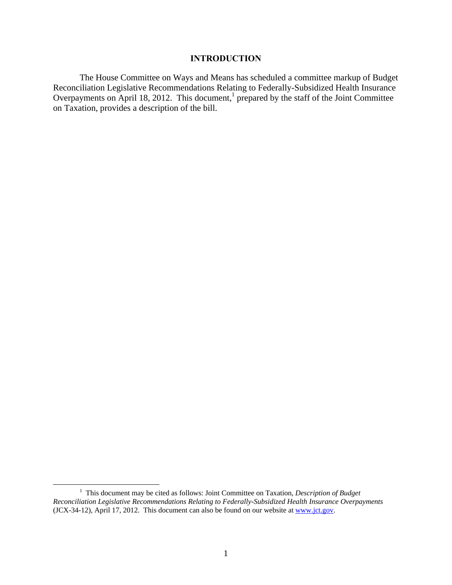#### **INTRODUCTION**

The House Committee on Ways and Means has scheduled a committee markup of Budget Reconciliation Legislative Recommendations Relating to Federally-Subsidized Health Insurance Overpayments on April 18, 2012. This document,<sup>1</sup> prepared by the staff of the Joint Committee on Taxation, provides a description of the bill.

 $\frac{1}{1}$  This document may be cited as follows: Joint Committee on Taxation*, Description of Budget Reconciliation Legislative Recommendations Relating to Federally-Subsidized Health Insurance Overpayments*  (JCX-34-12), April 17, 2012. This document can also be found on our website at www.jct.gov.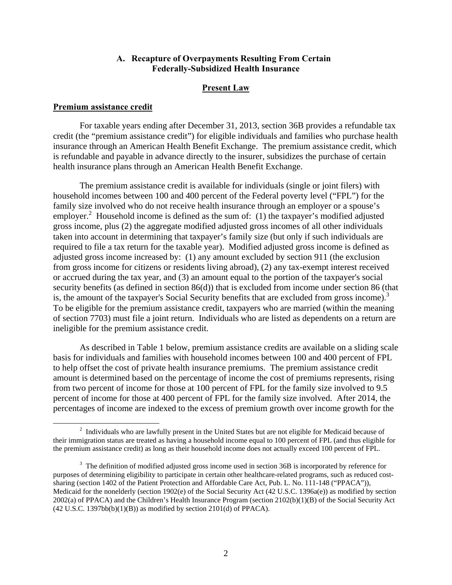#### **A. Recapture of Overpayments Resulting From Certain Federally-Subsidized Health Insurance**

#### **Present Law**

#### **Premium assistance credit**

For taxable years ending after December 31, 2013, section 36B provides a refundable tax credit (the "premium assistance credit") for eligible individuals and families who purchase health insurance through an American Health Benefit Exchange. The premium assistance credit, which is refundable and payable in advance directly to the insurer, subsidizes the purchase of certain health insurance plans through an American Health Benefit Exchange.

The premium assistance credit is available for individuals (single or joint filers) with household incomes between 100 and 400 percent of the Federal poverty level ("FPL") for the family size involved who do not receive health insurance through an employer or a spouse's employer.<sup>2</sup> Household income is defined as the sum of: (1) the taxpayer's modified adjusted gross income, plus (2) the aggregate modified adjusted gross incomes of all other individuals taken into account in determining that taxpayer's family size (but only if such individuals are required to file a tax return for the taxable year). Modified adjusted gross income is defined as adjusted gross income increased by: (1) any amount excluded by section 911 (the exclusion from gross income for citizens or residents living abroad), (2) any tax-exempt interest received or accrued during the tax year, and (3) an amount equal to the portion of the taxpayer's social security benefits (as defined in section 86(d)) that is excluded from income under section 86 (that is, the amount of the taxpayer's Social Security benefits that are excluded from gross income).<sup>3</sup> To be eligible for the premium assistance credit, taxpayers who are married (within the meaning of section 7703) must file a joint return. Individuals who are listed as dependents on a return are ineligible for the premium assistance credit.

As described in Table 1 below, premium assistance credits are available on a sliding scale basis for individuals and families with household incomes between 100 and 400 percent of FPL to help offset the cost of private health insurance premiums. The premium assistance credit amount is determined based on the percentage of income the cost of premiums represents, rising from two percent of income for those at 100 percent of FPL for the family size involved to 9.5 percent of income for those at 400 percent of FPL for the family size involved. After 2014, the percentages of income are indexed to the excess of premium growth over income growth for the

 $\frac{1}{2}$ <sup>2</sup> Individuals who are lawfully present in the United States but are not eligible for Medicaid because of their immigration status are treated as having a household income equal to 100 percent of FPL (and thus eligible for the premium assistance credit) as long as their household income does not actually exceed 100 percent of FPL.

 $3$  The definition of modified adjusted gross income used in section 36B is incorporated by reference for purposes of determining eligibility to participate in certain other healthcare-related programs, such as reduced costsharing (section 1402 of the Patient Protection and Affordable Care Act, Pub. L. No. 111-148 ("PPACA")), Medicaid for the nonelderly (section 1902(e) of the Social Security Act (42 U.S.C. 1396a(e)) as modified by section 2002(a) of PPACA) and the Children's Health Insurance Program (section 2102(b)(1)(B) of the Social Security Act  $(42 \text{ U.S.C. } 1397 \text{bb}(b)(1)(B))$  as modified by section 2101(d) of PPACA).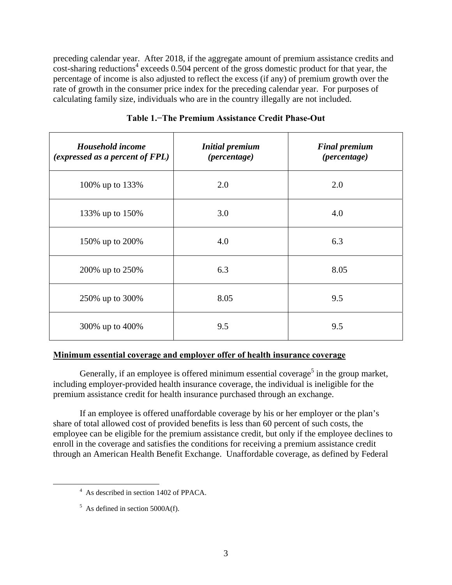preceding calendar year. After 2018, if the aggregate amount of premium assistance credits and  $\frac{1}{\cosh 2}$  cost-sharing reductions<sup>4</sup> exceeds 0.504 percent of the gross domestic product for that year, the percentage of income is also adjusted to reflect the excess (if any) of premium growth over the rate of growth in the consumer price index for the preceding calendar year. For purposes of calculating family size, individuals who are in the country illegally are not included.

| Household income<br>(expressed as a percent of FPL) | <b>Initial premium</b><br>(percentage) | <b>Final premium</b><br>(percentage) |
|-----------------------------------------------------|----------------------------------------|--------------------------------------|
| 100% up to 133%                                     | 2.0                                    | 2.0                                  |
| 133% up to 150%                                     | 3.0                                    | 4.0                                  |
| 150% up to 200%                                     | 4.0                                    | 6.3                                  |
| 200% up to 250%                                     | 6.3                                    | 8.05                                 |
| 250% up to 300%                                     | 8.05                                   | 9.5                                  |
| 300% up to 400%                                     | 9.5                                    | 9.5                                  |

### **Table 1.−The Premium Assistance Credit Phase-Out**

### **Minimum essential coverage and employer offer of health insurance coverage**

Generally, if an employee is offered minimum essential coverage<sup>5</sup> in the group market, including employer-provided health insurance coverage, the individual is ineligible for the premium assistance credit for health insurance purchased through an exchange.

If an employee is offered unaffordable coverage by his or her employer or the plan's share of total allowed cost of provided benefits is less than 60 percent of such costs, the employee can be eligible for the premium assistance credit, but only if the employee declines to enroll in the coverage and satisfies the conditions for receiving a premium assistance credit through an American Health Benefit Exchange. Unaffordable coverage, as defined by Federal

 $\frac{1}{4}$ <sup>4</sup> As described in section 1402 of PPACA.

 $<sup>5</sup>$  As defined in section 5000A(f).</sup>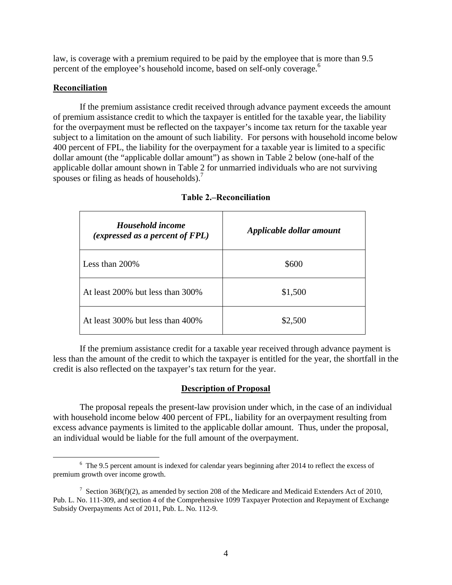law, is coverage with a premium required to be paid by the employee that is more than 9.5 percent of the employee's household income, based on self-only coverage.<sup>6</sup>

### **Reconciliation**

If the premium assistance credit received through advance payment exceeds the amount of premium assistance credit to which the taxpayer is entitled for the taxable year, the liability for the overpayment must be reflected on the taxpayer's income tax return for the taxable year subject to a limitation on the amount of such liability. For persons with household income below 400 percent of FPL, the liability for the overpayment for a taxable year is limited to a specific dollar amount (the "applicable dollar amount") as shown in Table 2 below (one-half of the applicable dollar amount shown in Table 2 for unmarried individuals who are not surviving spouses or filing as heads of households).<sup>7</sup>

| Household income<br>(expressed as a percent of FPL) | Applicable dollar amount |
|-----------------------------------------------------|--------------------------|
| Less than 200\%                                     | \$600                    |
| At least 200% but less than 300%                    | \$1,500                  |
| At least 300% but less than 400%                    | \$2,500                  |

If the premium assistance credit for a taxable year received through advance payment is less than the amount of the credit to which the taxpayer is entitled for the year, the shortfall in the credit is also reflected on the taxpayer's tax return for the year.

### **Description of Proposal**

The proposal repeals the present-law provision under which, in the case of an individual with household income below 400 percent of FPL, liability for an overpayment resulting from excess advance payments is limited to the applicable dollar amount. Thus, under the proposal, an individual would be liable for the full amount of the overpayment.

 <sup>6</sup> The 9.5 percent amount is indexed for calendar years beginning after 2014 to reflect the excess of premium growth over income growth.

<sup>&</sup>lt;sup>7</sup> Section 36B(f)(2), as amended by section 208 of the Medicare and Medicaid Extenders Act of 2010, Pub. L. No. 111-309, and section 4 of the Comprehensive 1099 Taxpayer Protection and Repayment of Exchange Subsidy Overpayments Act of 2011, Pub. L. No. 112-9.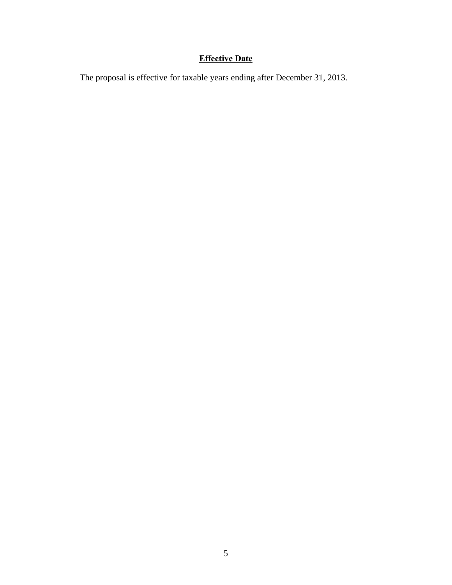# **Effective Date**

The proposal is effective for taxable years ending after December 31, 2013.